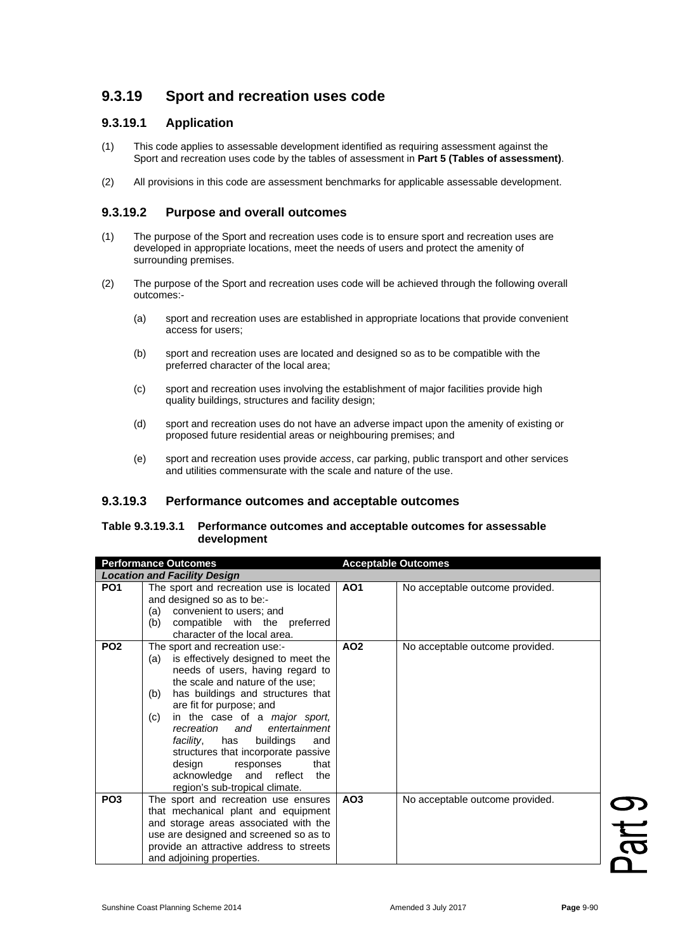# **9.3.19 Sport and recreation uses code**

# **9.3.19.1 Application**

- (1) This code applies to assessable development identified as requiring assessment against the Sport and recreation uses code by the tables of assessment in **Part 5 (Tables of assessment)**.
- (2) All provisions in this code are assessment benchmarks for applicable assessable development.

### **9.3.19.2 Purpose and overall outcomes**

- (1) The purpose of the Sport and recreation uses code is to ensure sport and recreation uses are developed in appropriate locations, meet the needs of users and protect the amenity of surrounding premises.
- (2) The purpose of the Sport and recreation uses code will be achieved through the following overall outcomes:-
	- (a) sport and recreation uses are established in appropriate locations that provide convenient access for users;
	- (b) sport and recreation uses are located and designed so as to be compatible with the preferred character of the local area;
	- (c) sport and recreation uses involving the establishment of major facilities provide high quality buildings, structures and facility design;
	- (d) sport and recreation uses do not have an adverse impact upon the amenity of existing or proposed future residential areas or neighbouring premises; and
	- (e) sport and recreation uses provide *access*, car parking, public transport and other services and utilities commensurate with the scale and nature of the use.

## **9.3.19.3 Performance outcomes and acceptable outcomes**

#### **Table 9.3.19.3.1 Performance outcomes and acceptable outcomes for assessable development**

| <b>Performance Outcomes</b>         |                                                                                                                                                                                                                                                                                                                                                                                                                                                                                          | <b>Acceptable Outcomes</b> |                                 |  |
|-------------------------------------|------------------------------------------------------------------------------------------------------------------------------------------------------------------------------------------------------------------------------------------------------------------------------------------------------------------------------------------------------------------------------------------------------------------------------------------------------------------------------------------|----------------------------|---------------------------------|--|
| <b>Location and Facility Design</b> |                                                                                                                                                                                                                                                                                                                                                                                                                                                                                          |                            |                                 |  |
| PO <sub>1</sub>                     | The sport and recreation use is located<br>and designed so as to be:-<br>convenient to users; and<br>(a)<br>compatible with the preferred<br>(b)<br>character of the local area.                                                                                                                                                                                                                                                                                                         | <b>AO1</b>                 | No acceptable outcome provided. |  |
| PO <sub>2</sub>                     | The sport and recreation use:-<br>is effectively designed to meet the<br>(a)<br>needs of users, having regard to<br>the scale and nature of the use:<br>has buildings and structures that<br>(b)<br>are fit for purpose; and<br>(c)<br>in the case of a major sport,<br>recreation and entertainment<br><i>facility</i> , has<br>buildings<br>and<br>structures that incorporate passive<br>design responses<br>that<br>acknowledge and reflect<br>the<br>region's sub-tropical climate. | AO <sub>2</sub>            | No acceptable outcome provided. |  |
| PO <sub>3</sub>                     | The sport and recreation use ensures<br>that mechanical plant and equipment<br>and storage areas associated with the<br>use are designed and screened so as to<br>provide an attractive address to streets<br>and adjoining properties.                                                                                                                                                                                                                                                  | AO <sub>3</sub>            | No acceptable outcome provided. |  |